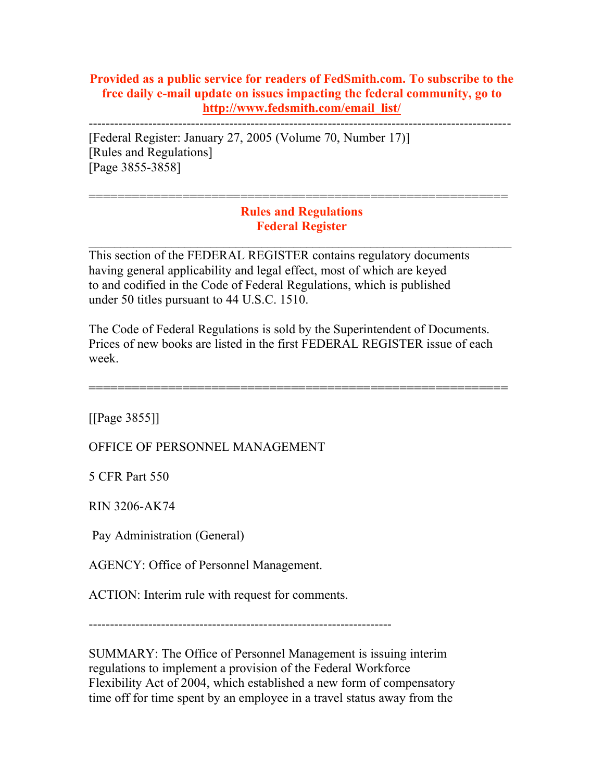**Provided as a public service for readers of FedSmith.com. To subscribe to the free daily e-mail update on issues impacting the federal community, go to http://www.fedsmith.com/email\_list/**

---------------------------------------------------------------------------------------------------

[Federal Register: January 27, 2005 (Volume 70, Number 17)] [Rules and Regulations] [Page 3855-3858]

# **Rules and Regulations Federal Register**

 $\mathcal{L}_\text{max}$  and  $\mathcal{L}_\text{max}$  and  $\mathcal{L}_\text{max}$  and  $\mathcal{L}_\text{max}$  and  $\mathcal{L}_\text{max}$  and  $\mathcal{L}_\text{max}$ 

==========================================================

This section of the FEDERAL REGISTER contains regulatory documents having general applicability and legal effect, most of which are keyed to and codified in the Code of Federal Regulations, which is published under 50 titles pursuant to 44 U.S.C. 1510.

The Code of Federal Regulations is sold by the Superintendent of Documents. Prices of new books are listed in the first FEDERAL REGISTER issue of each week.

==========================================================

[[Page 3855]]

OFFICE OF PERSONNEL MANAGEMENT

5 CFR Part 550

RIN 3206-AK74

Pay Administration (General)

AGENCY: Office of Personnel Management.

ACTION: Interim rule with request for comments.

-----------------------------------------------------------------------

SUMMARY: The Office of Personnel Management is issuing interim regulations to implement a provision of the Federal Workforce Flexibility Act of 2004, which established a new form of compensatory time off for time spent by an employee in a travel status away from the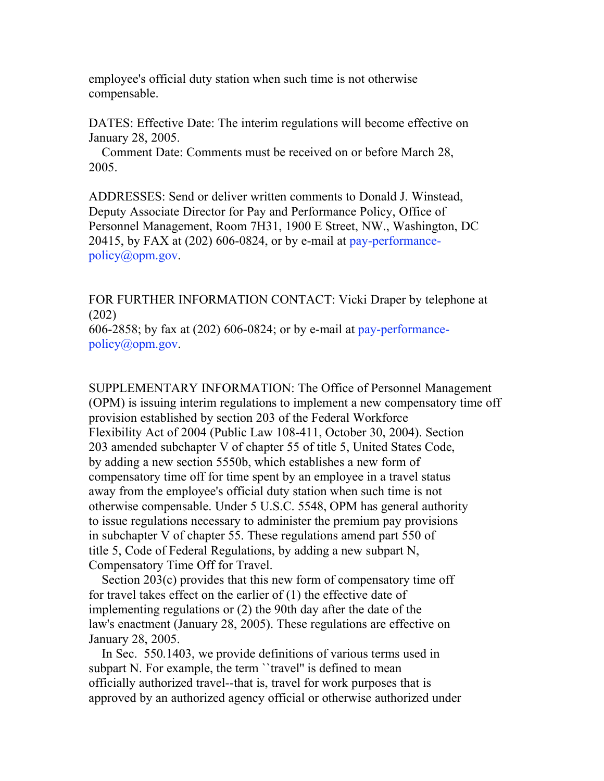employee's official duty station when such time is not otherwise compensable.

DATES: Effective Date: The interim regulations will become effective on January 28, 2005.

Comment Date: Comments must be received on or before March 28, 2005.

ADDRESSES: Send or deliver written comments to Donald J. Winstead, Deputy Associate Director for Pay and Performance Policy, Office of Personnel Management, Room 7H31, 1900 E Street, NW., Washington, DC 20415, by FAX at  $(202)$  606-0824, or by e-mail at pay-performancepolicy@opm.gov.

FOR FURTHER INFORMATION CONTACT: Vicki Draper by telephone at (202)

606-2858; by fax at (202) 606-0824; or by e-mail at pay-performancepolicy@opm.gov.

SUPPLEMENTARY INFORMATION: The Office of Personnel Management (OPM) is issuing interim regulations to implement a new compensatory time off provision established by section 203 of the Federal Workforce Flexibility Act of 2004 (Public Law 108-411, October 30, 2004). Section 203 amended subchapter V of chapter 55 of title 5, United States Code, by adding a new section 5550b, which establishes a new form of compensatory time off for time spent by an employee in a travel status away from the employee's official duty station when such time is not otherwise compensable. Under 5 U.S.C. 5548, OPM has general authority to issue regulations necessary to administer the premium pay provisions in subchapter V of chapter 55. These regulations amend part 550 of title 5, Code of Federal Regulations, by adding a new subpart N, Compensatory Time Off for Travel.

Section 203(c) provides that this new form of compensatory time off for travel takes effect on the earlier of (1) the effective date of implementing regulations or (2) the 90th day after the date of the law's enactment (January 28, 2005). These regulations are effective on January 28, 2005.

In Sec. 550.1403, we provide definitions of various terms used in subpart N. For example, the term "travel" is defined to mean officially authorized travel--that is, travel for work purposes that is approved by an authorized agency official or otherwise authorized under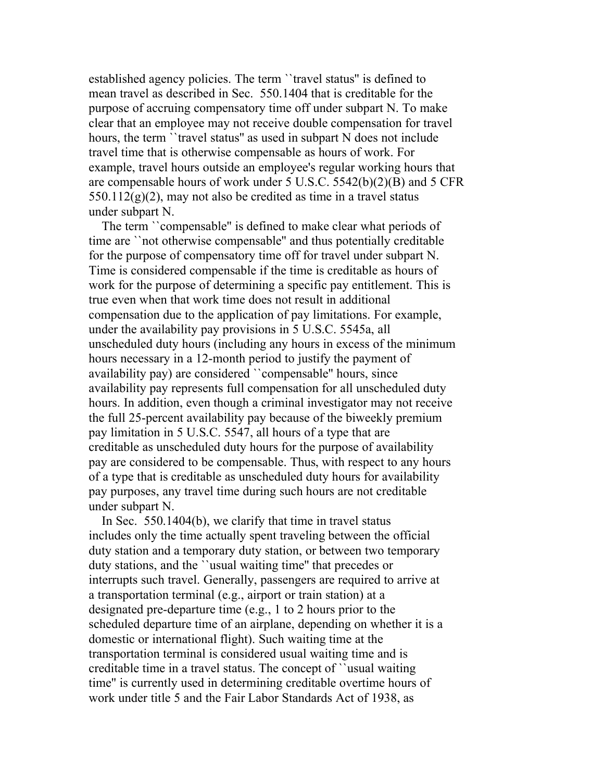established agency policies. The term ``travel status'' is defined to mean travel as described in Sec. 550.1404 that is creditable for the purpose of accruing compensatory time off under subpart N. To make clear that an employee may not receive double compensation for travel hours, the term ``travel status'' as used in subpart N does not include travel time that is otherwise compensable as hours of work. For example, travel hours outside an employee's regular working hours that are compensable hours of work under 5 U.S.C. 5542(b)(2)(B) and 5 CFR  $550.112(g)(2)$ , may not also be credited as time in a travel status under subpart N.

The term ``compensable'' is defined to make clear what periods of time are ``not otherwise compensable'' and thus potentially creditable for the purpose of compensatory time off for travel under subpart N. Time is considered compensable if the time is creditable as hours of work for the purpose of determining a specific pay entitlement. This is true even when that work time does not result in additional compensation due to the application of pay limitations. For example, under the availability pay provisions in 5 U.S.C. 5545a, all unscheduled duty hours (including any hours in excess of the minimum hours necessary in a 12-month period to justify the payment of availability pay) are considered ``compensable'' hours, since availability pay represents full compensation for all unscheduled duty hours. In addition, even though a criminal investigator may not receive the full 25-percent availability pay because of the biweekly premium pay limitation in 5 U.S.C. 5547, all hours of a type that are creditable as unscheduled duty hours for the purpose of availability pay are considered to be compensable. Thus, with respect to any hours of a type that is creditable as unscheduled duty hours for availability pay purposes, any travel time during such hours are not creditable under subpart N.

In Sec. 550.1404(b), we clarify that time in travel status includes only the time actually spent traveling between the official duty station and a temporary duty station, or between two temporary duty stations, and the ``usual waiting time'' that precedes or interrupts such travel. Generally, passengers are required to arrive at a transportation terminal (e.g., airport or train station) at a designated pre-departure time (e.g., 1 to 2 hours prior to the scheduled departure time of an airplane, depending on whether it is a domestic or international flight). Such waiting time at the transportation terminal is considered usual waiting time and is creditable time in a travel status. The concept of ``usual waiting time'' is currently used in determining creditable overtime hours of work under title 5 and the Fair Labor Standards Act of 1938, as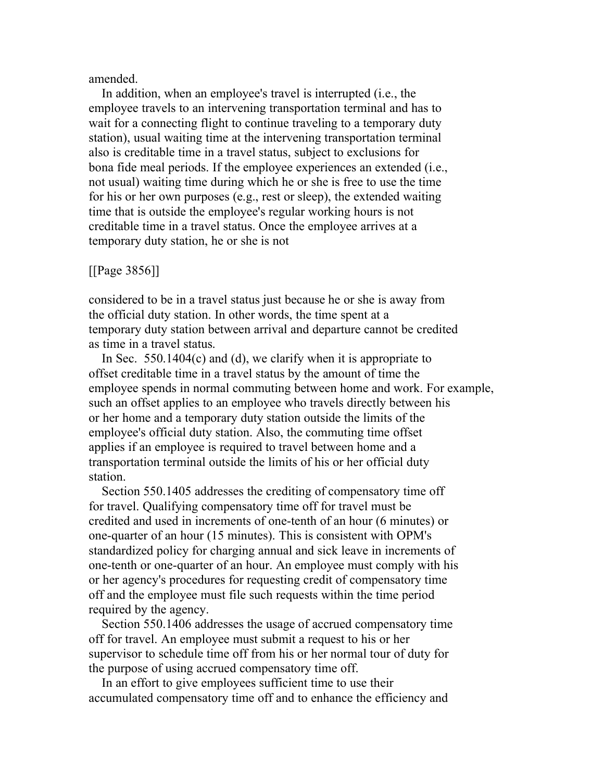amended.

In addition, when an employee's travel is interrupted (i.e., the employee travels to an intervening transportation terminal and has to wait for a connecting flight to continue traveling to a temporary duty station), usual waiting time at the intervening transportation terminal also is creditable time in a travel status, subject to exclusions for bona fide meal periods. If the employee experiences an extended (i.e., not usual) waiting time during which he or she is free to use the time for his or her own purposes (e.g., rest or sleep), the extended waiting time that is outside the employee's regular working hours is not creditable time in a travel status. Once the employee arrives at a temporary duty station, he or she is not

## [[Page 3856]]

considered to be in a travel status just because he or she is away from the official duty station. In other words, the time spent at a temporary duty station between arrival and departure cannot be credited as time in a travel status.

In Sec. 550.1404(c) and (d), we clarify when it is appropriate to offset creditable time in a travel status by the amount of time the employee spends in normal commuting between home and work. For example, such an offset applies to an employee who travels directly between his or her home and a temporary duty station outside the limits of the employee's official duty station. Also, the commuting time offset applies if an employee is required to travel between home and a transportation terminal outside the limits of his or her official duty station.

Section 550.1405 addresses the crediting of compensatory time off for travel. Qualifying compensatory time off for travel must be credited and used in increments of one-tenth of an hour (6 minutes) or one-quarter of an hour (15 minutes). This is consistent with OPM's standardized policy for charging annual and sick leave in increments of one-tenth or one-quarter of an hour. An employee must comply with his or her agency's procedures for requesting credit of compensatory time off and the employee must file such requests within the time period required by the agency.

Section 550.1406 addresses the usage of accrued compensatory time off for travel. An employee must submit a request to his or her supervisor to schedule time off from his or her normal tour of duty for the purpose of using accrued compensatory time off.

In an effort to give employees sufficient time to use their accumulated compensatory time off and to enhance the efficiency and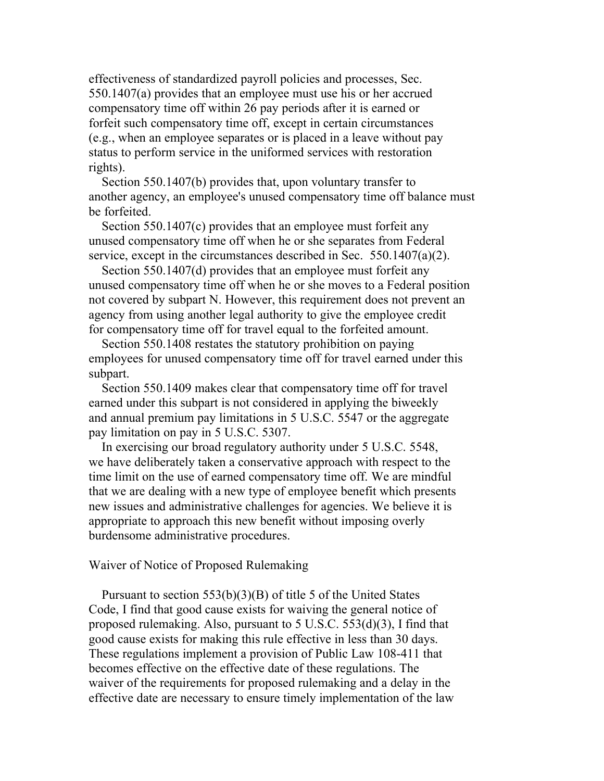effectiveness of standardized payroll policies and processes, Sec. 550.1407(a) provides that an employee must use his or her accrued compensatory time off within 26 pay periods after it is earned or forfeit such compensatory time off, except in certain circumstances (e.g., when an employee separates or is placed in a leave without pay status to perform service in the uniformed services with restoration rights).

Section 550.1407(b) provides that, upon voluntary transfer to another agency, an employee's unused compensatory time off balance must be forfeited.

Section 550.1407(c) provides that an employee must forfeit any unused compensatory time off when he or she separates from Federal service, except in the circumstances described in Sec. 550.1407(a)(2).

Section 550.1407(d) provides that an employee must forfeit any unused compensatory time off when he or she moves to a Federal position not covered by subpart N. However, this requirement does not prevent an agency from using another legal authority to give the employee credit for compensatory time off for travel equal to the forfeited amount.

Section 550.1408 restates the statutory prohibition on paying employees for unused compensatory time off for travel earned under this subpart.

Section 550.1409 makes clear that compensatory time off for travel earned under this subpart is not considered in applying the biweekly and annual premium pay limitations in 5 U.S.C. 5547 or the aggregate pay limitation on pay in 5 U.S.C. 5307.

In exercising our broad regulatory authority under 5 U.S.C. 5548, we have deliberately taken a conservative approach with respect to the time limit on the use of earned compensatory time off. We are mindful that we are dealing with a new type of employee benefit which presents new issues and administrative challenges for agencies. We believe it is appropriate to approach this new benefit without imposing overly burdensome administrative procedures.

## Waiver of Notice of Proposed Rulemaking

Pursuant to section 553(b)(3)(B) of title 5 of the United States Code, I find that good cause exists for waiving the general notice of proposed rulemaking. Also, pursuant to 5 U.S.C. 553(d)(3), I find that good cause exists for making this rule effective in less than 30 days. These regulations implement a provision of Public Law 108-411 that becomes effective on the effective date of these regulations. The waiver of the requirements for proposed rulemaking and a delay in the effective date are necessary to ensure timely implementation of the law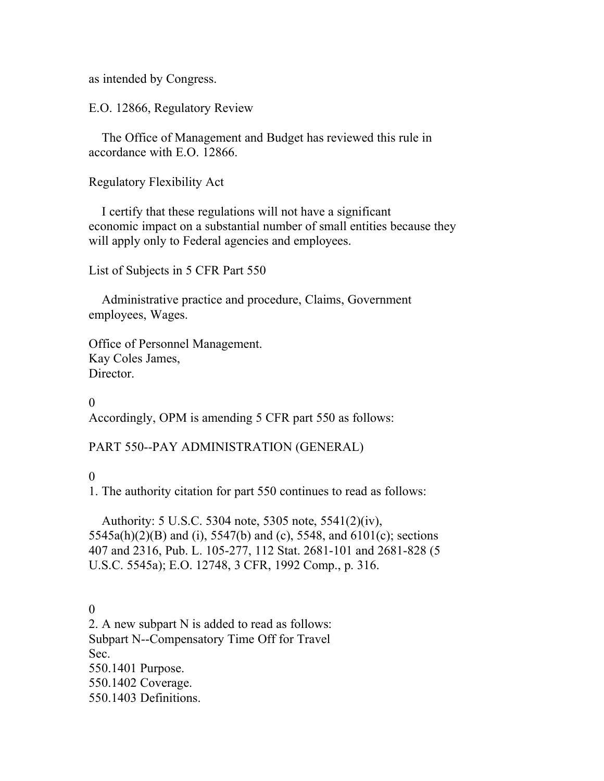as intended by Congress.

E.O. 12866, Regulatory Review

The Office of Management and Budget has reviewed this rule in accordance with E.O. 12866.

Regulatory Flexibility Act

I certify that these regulations will not have a significant economic impact on a substantial number of small entities because they will apply only to Federal agencies and employees.

List of Subjects in 5 CFR Part 550

Administrative practice and procedure, Claims, Government employees, Wages.

Office of Personnel Management. Kay Coles James, Director.

0

Accordingly, OPM is amending 5 CFR part 550 as follows:

PART 550--PAY ADMINISTRATION (GENERAL)

## 0

1. The authority citation for part 550 continues to read as follows:

Authority: 5 U.S.C. 5304 note, 5305 note, 5541(2)(iv), 5545a(h)(2)(B) and (i), 5547(b) and (c), 5548, and 6101(c); sections 407 and 2316, Pub. L. 105-277, 112 Stat. 2681-101 and 2681-828 (5 U.S.C. 5545a); E.O. 12748, 3 CFR, 1992 Comp., p. 316.

 $\overline{0}$ 2. A new subpart N is added to read as follows: Subpart N--Compensatory Time Off for Travel Sec. 550.1401 Purpose. 550.1402 Coverage. 550.1403 Definitions.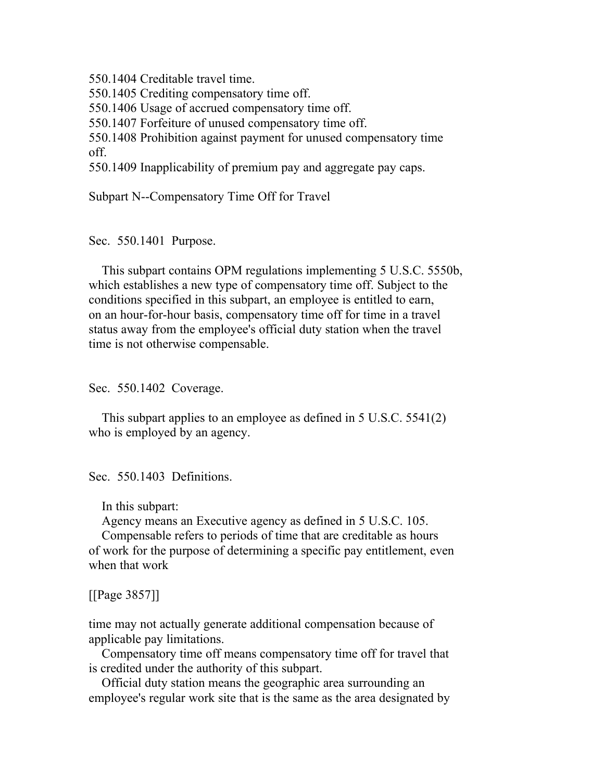550.1404 Creditable travel time.

550.1405 Crediting compensatory time off.

550.1406 Usage of accrued compensatory time off.

550.1407 Forfeiture of unused compensatory time off.

550.1408 Prohibition against payment for unused compensatory time off.

550.1409 Inapplicability of premium pay and aggregate pay caps.

Subpart N--Compensatory Time Off for Travel

Sec. 550.1401 Purpose.

This subpart contains OPM regulations implementing 5 U.S.C. 5550b, which establishes a new type of compensatory time off. Subject to the conditions specified in this subpart, an employee is entitled to earn, on an hour-for-hour basis, compensatory time off for time in a travel status away from the employee's official duty station when the travel time is not otherwise compensable.

Sec. 550.1402 Coverage.

This subpart applies to an employee as defined in 5 U.S.C. 5541(2) who is employed by an agency.

Sec. 550.1403 Definitions.

In this subpart:

Agency means an Executive agency as defined in 5 U.S.C. 105.

Compensable refers to periods of time that are creditable as hours of work for the purpose of determining a specific pay entitlement, even when that work

[[Page 3857]]

time may not actually generate additional compensation because of applicable pay limitations.

Compensatory time off means compensatory time off for travel that is credited under the authority of this subpart.

Official duty station means the geographic area surrounding an employee's regular work site that is the same as the area designated by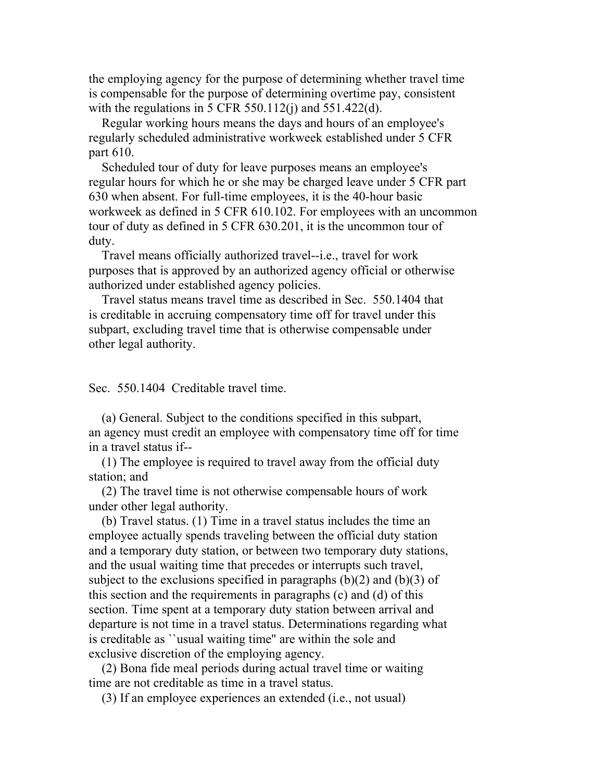the employing agency for the purpose of determining whether travel time is compensable for the purpose of determining overtime pay, consistent with the regulations in 5 CFR 550.112(j) and 551.422(d).

Regular working hours means the days and hours of an employee's regularly scheduled administrative workweek established under 5 CFR part 610.

Scheduled tour of duty for leave purposes means an employee's regular hours for which he or she may be charged leave under 5 CFR part 630 when absent. For full-time employees, it is the 40-hour basic workweek as defined in 5 CFR 610.102. For employees with an uncommon tour of duty as defined in 5 CFR 630.201, it is the uncommon tour of duty.

Travel means officially authorized travel--i.e., travel for work purposes that is approved by an authorized agency official or otherwise authorized under established agency policies.

Travel status means travel time as described in Sec. 550.1404 that is creditable in accruing compensatory time off for travel under this subpart, excluding travel time that is otherwise compensable under other legal authority.

#### Sec. 550.1404 Creditable travel time.

(a) General. Subject to the conditions specified in this subpart, an agency must credit an employee with compensatory time off for time in a travel status if--

(1) The employee is required to travel away from the official duty station; and

(2) The travel time is not otherwise compensable hours of work under other legal authority.

(b) Travel status. (1) Time in a travel status includes the time an employee actually spends traveling between the official duty station and a temporary duty station, or between two temporary duty stations, and the usual waiting time that precedes or interrupts such travel, subject to the exclusions specified in paragraphs  $(b)(2)$  and  $(b)(3)$  of this section and the requirements in paragraphs (c) and (d) of this section. Time spent at a temporary duty station between arrival and departure is not time in a travel status. Determinations regarding what is creditable as ``usual waiting time'' are within the sole and exclusive discretion of the employing agency.

(2) Bona fide meal periods during actual travel time or waiting time are not creditable as time in a travel status.

(3) If an employee experiences an extended (i.e., not usual)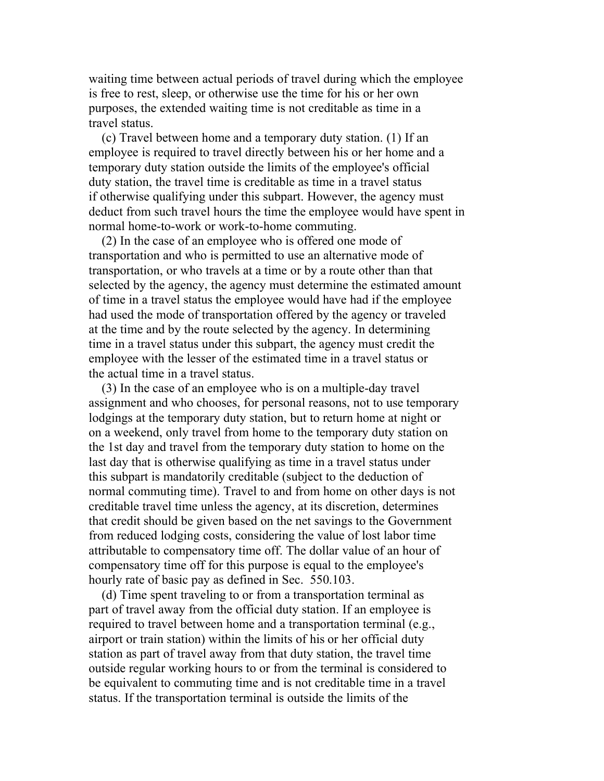waiting time between actual periods of travel during which the employee is free to rest, sleep, or otherwise use the time for his or her own purposes, the extended waiting time is not creditable as time in a travel status.

(c) Travel between home and a temporary duty station. (1) If an employee is required to travel directly between his or her home and a temporary duty station outside the limits of the employee's official duty station, the travel time is creditable as time in a travel status if otherwise qualifying under this subpart. However, the agency must deduct from such travel hours the time the employee would have spent in normal home-to-work or work-to-home commuting.

(2) In the case of an employee who is offered one mode of transportation and who is permitted to use an alternative mode of transportation, or who travels at a time or by a route other than that selected by the agency, the agency must determine the estimated amount of time in a travel status the employee would have had if the employee had used the mode of transportation offered by the agency or traveled at the time and by the route selected by the agency. In determining time in a travel status under this subpart, the agency must credit the employee with the lesser of the estimated time in a travel status or the actual time in a travel status.

(3) In the case of an employee who is on a multiple-day travel assignment and who chooses, for personal reasons, not to use temporary lodgings at the temporary duty station, but to return home at night or on a weekend, only travel from home to the temporary duty station on the 1st day and travel from the temporary duty station to home on the last day that is otherwise qualifying as time in a travel status under this subpart is mandatorily creditable (subject to the deduction of normal commuting time). Travel to and from home on other days is not creditable travel time unless the agency, at its discretion, determines that credit should be given based on the net savings to the Government from reduced lodging costs, considering the value of lost labor time attributable to compensatory time off. The dollar value of an hour of compensatory time off for this purpose is equal to the employee's hourly rate of basic pay as defined in Sec. 550.103.

(d) Time spent traveling to or from a transportation terminal as part of travel away from the official duty station. If an employee is required to travel between home and a transportation terminal (e.g., airport or train station) within the limits of his or her official duty station as part of travel away from that duty station, the travel time outside regular working hours to or from the terminal is considered to be equivalent to commuting time and is not creditable time in a travel status. If the transportation terminal is outside the limits of the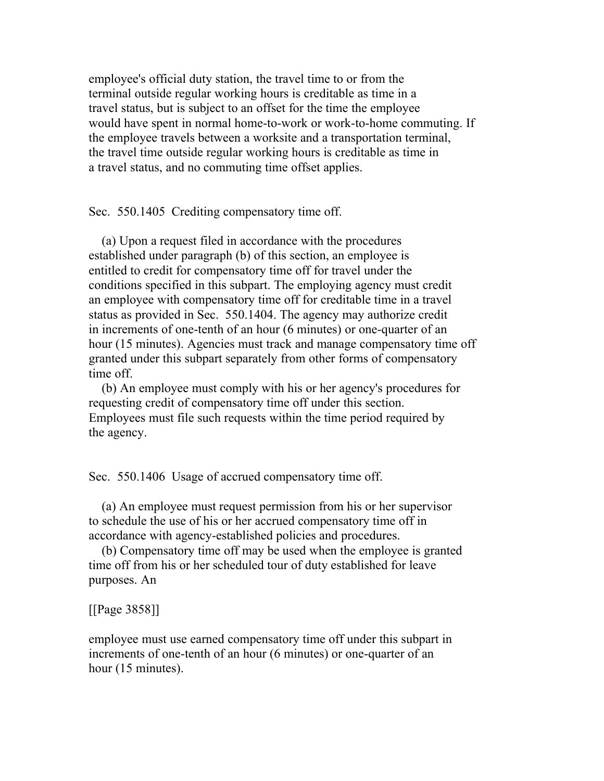employee's official duty station, the travel time to or from the terminal outside regular working hours is creditable as time in a travel status, but is subject to an offset for the time the employee would have spent in normal home-to-work or work-to-home commuting. If the employee travels between a worksite and a transportation terminal, the travel time outside regular working hours is creditable as time in a travel status, and no commuting time offset applies.

Sec. 550.1405 Crediting compensatory time off.

(a) Upon a request filed in accordance with the procedures established under paragraph (b) of this section, an employee is entitled to credit for compensatory time off for travel under the conditions specified in this subpart. The employing agency must credit an employee with compensatory time off for creditable time in a travel status as provided in Sec. 550.1404. The agency may authorize credit in increments of one-tenth of an hour (6 minutes) or one-quarter of an hour (15 minutes). Agencies must track and manage compensatory time off granted under this subpart separately from other forms of compensatory time off.

(b) An employee must comply with his or her agency's procedures for requesting credit of compensatory time off under this section. Employees must file such requests within the time period required by the agency.

Sec. 550.1406 Usage of accrued compensatory time off.

(a) An employee must request permission from his or her supervisor to schedule the use of his or her accrued compensatory time off in accordance with agency-established policies and procedures.

(b) Compensatory time off may be used when the employee is granted time off from his or her scheduled tour of duty established for leave purposes. An

## [[Page 3858]]

employee must use earned compensatory time off under this subpart in increments of one-tenth of an hour (6 minutes) or one-quarter of an hour (15 minutes).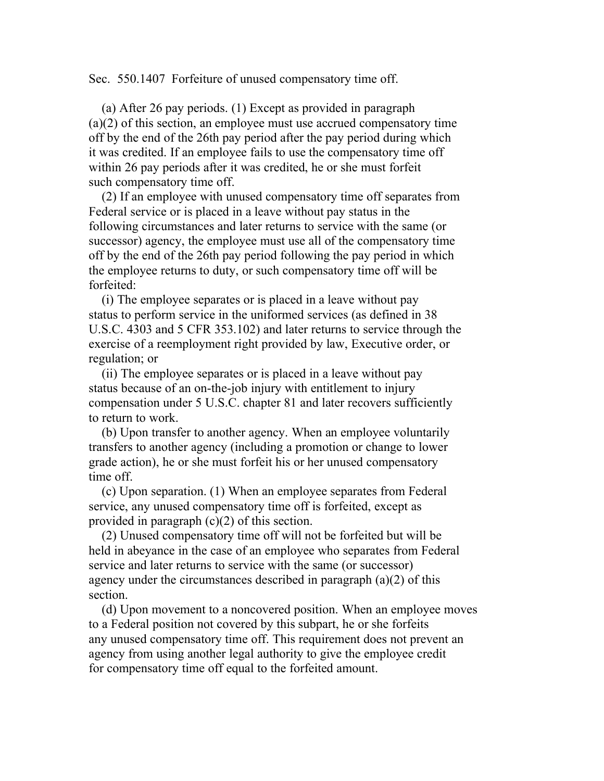Sec. 550.1407 Forfeiture of unused compensatory time off.

(a) After 26 pay periods. (1) Except as provided in paragraph (a)(2) of this section, an employee must use accrued compensatory time off by the end of the 26th pay period after the pay period during which it was credited. If an employee fails to use the compensatory time off within 26 pay periods after it was credited, he or she must forfeit such compensatory time off.

(2) If an employee with unused compensatory time off separates from Federal service or is placed in a leave without pay status in the following circumstances and later returns to service with the same (or successor) agency, the employee must use all of the compensatory time off by the end of the 26th pay period following the pay period in which the employee returns to duty, or such compensatory time off will be forfeited:

(i) The employee separates or is placed in a leave without pay status to perform service in the uniformed services (as defined in 38 U.S.C. 4303 and 5 CFR 353.102) and later returns to service through the exercise of a reemployment right provided by law, Executive order, or regulation; or

(ii) The employee separates or is placed in a leave without pay status because of an on-the-job injury with entitlement to injury compensation under 5 U.S.C. chapter 81 and later recovers sufficiently to return to work.

(b) Upon transfer to another agency. When an employee voluntarily transfers to another agency (including a promotion or change to lower grade action), he or she must forfeit his or her unused compensatory time off.

(c) Upon separation. (1) When an employee separates from Federal service, any unused compensatory time off is forfeited, except as provided in paragraph  $(c)(2)$  of this section.

(2) Unused compensatory time off will not be forfeited but will be held in abeyance in the case of an employee who separates from Federal service and later returns to service with the same (or successor) agency under the circumstances described in paragraph (a)(2) of this section.

(d) Upon movement to a noncovered position. When an employee moves to a Federal position not covered by this subpart, he or she forfeits any unused compensatory time off. This requirement does not prevent an agency from using another legal authority to give the employee credit for compensatory time off equal to the forfeited amount.